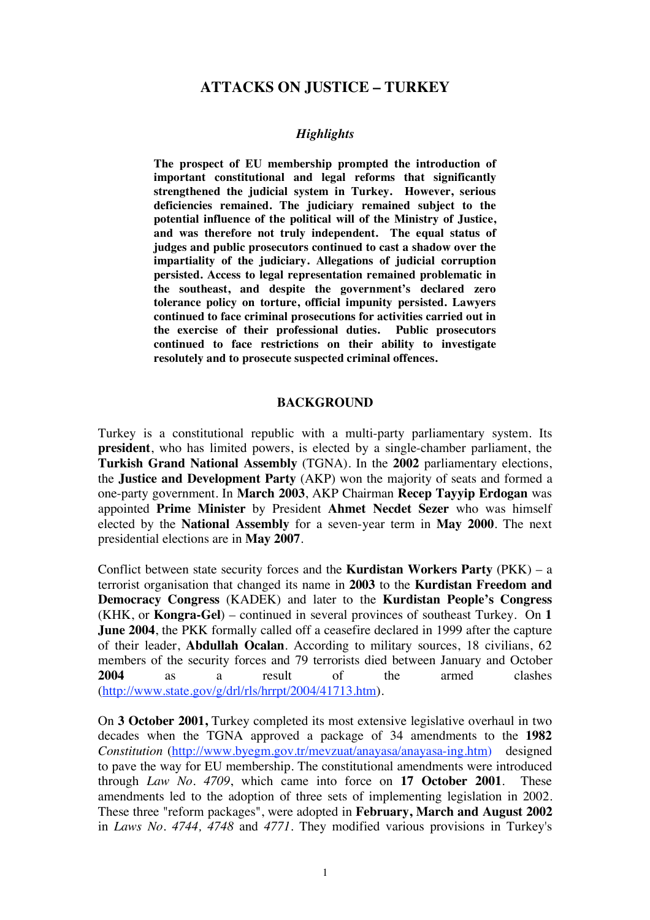# **ATTACKS ON JUSTICE – TURKEY**

#### *Highlights*

**The prospect of EU membership prompted the introduction of important constitutional and legal reforms that significantly strengthened the judicial system in Turkey. However, serious deficiencies remained. The judiciary remained subject to the potential influence of the political will of the Ministry of Justice, and was therefore not truly independent. The equal status of judges and public prosecutors continued to cast a shadow over the impartiality of the judiciary. Allegations of judicial corruption persisted. Access to legal representation remained problematic in the southeast, and despite the government's declared zero tolerance policy on torture, official impunity persisted. Lawyers continued to face criminal prosecutions for activities carried out in the exercise of their professional duties. Public prosecutors continued to face restrictions on their ability to investigate resolutely and to prosecute suspected criminal offences.** 

#### **BACKGROUND**

Turkey is a constitutional republic with a multi-party parliamentary system. Its **president**, who has limited powers, is elected by a single-chamber parliament, the **Turkish Grand National Assembly** (TGNA). In the **2002** parliamentary elections, the **Justice and Development Party** (AKP) won the majority of seats and formed a one-party government. In **March 2003**, AKP Chairman **Recep Tayyip Erdogan** was appointed **Prime Minister** by President **Ahmet Necdet Sezer** who was himself elected by the **National Assembly** for a seven-year term in **May 2000**. The next presidential elections are in **May 2007**.

Conflict between state security forces and the **Kurdistan Workers Party** (PKK) – a terrorist organisation that changed its name in **2003** to the **Kurdistan Freedom and Democracy Congress** (KADEK) and later to the **Kurdistan People's Congress** (KHK, or **Kongra-Gel**) – continued in several provinces of southeast Turkey. On **1 June 2004**, the PKK formally called off a ceasefire declared in 1999 after the capture of their leader, **Abdullah Ocalan**. According to military sources, 18 civilians, 62 members of the security forces and 79 terrorists died between January and October **2004** as a result of the armed clashes (http://www.state.gov/g/drl/rls/hrrpt/2004/41713.htm).

On **3 October 2001,** Turkey completed its most extensive legislative overhaul in two decades when the TGNA approved a package of 34 amendments to the **1982** *Constitution* (http://www.byegm.gov.tr/mevzuat/anayasa/anayasa-ing.htm) designed to pave the way for EU membership. The constitutional amendments were introduced through *Law No. 4709*, which came into force on **17 October 2001**. These amendments led to the adoption of three sets of implementing legislation in 2002. These three "reform packages", were adopted in **February, March and August 2002** in *Laws No. 4744, 4748* and *4771*. They modified various provisions in Turkey's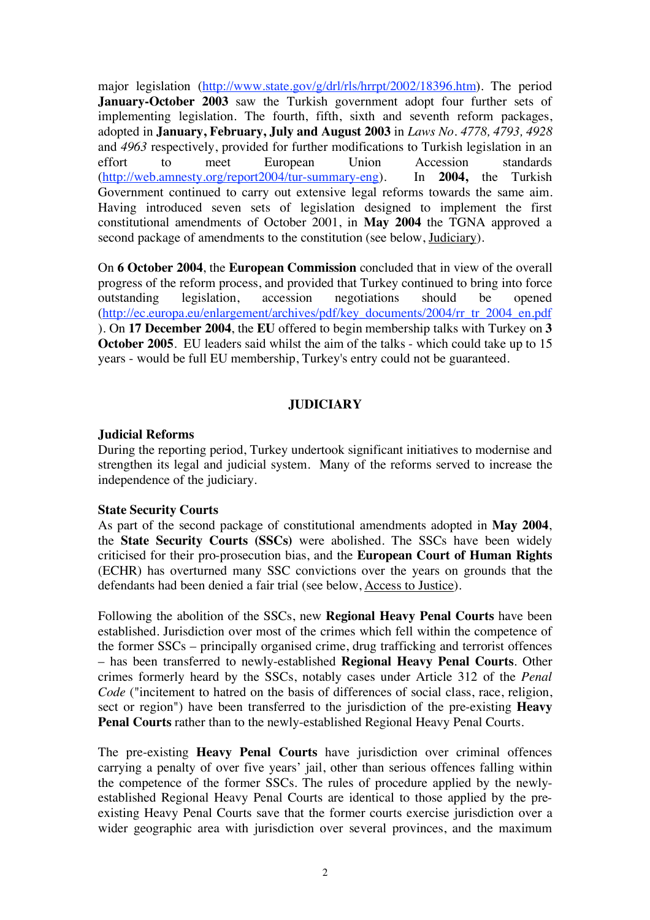major legislation (http://www.state.gov/g/drl/rls/hrrpt/2002/18396.htm). The period **January-October 2003** saw the Turkish government adopt four further sets of implementing legislation. The fourth, fifth, sixth and seventh reform packages, adopted in **January, February, July and August 2003** in *Laws No. 4778, 4793, 4928*  and *4963* respectively, provided for further modifications to Turkish legislation in an effort to meet European Union Accession standards (http://web.amnesty.org/report2004/tur-summary-eng). In **2004,** the Turkish Government continued to carry out extensive legal reforms towards the same aim. Having introduced seven sets of legislation designed to implement the first constitutional amendments of October 2001, in **May 2004** the TGNA approved a second package of amendments to the constitution (see below, Judiciary).

On **6 October 2004**, the **European Commission** concluded that in view of the overall progress of the reform process, and provided that Turkey continued to bring into force outstanding legislation, accession negotiations should be opened (http://ec.europa.eu/enlargement/archives/pdf/key\_documents/2004/rr\_tr\_2004\_en.pdf ). On **17 December 2004**, the **EU** offered to begin membership talks with Turkey on **3 October 2005**. EU leaders said whilst the aim of the talks - which could take up to 15 years - would be full EU membership, Turkey's entry could not be guaranteed.

#### **JUDICIARY**

#### **Judicial Reforms**

During the reporting period, Turkey undertook significant initiatives to modernise and strengthen its legal and judicial system. Many of the reforms served to increase the independence of the judiciary.

#### **State Security Courts**

As part of the second package of constitutional amendments adopted in **May 2004**, the **State Security Courts (SSCs)** were abolished. The SSCs have been widely criticised for their pro-prosecution bias, and the **European Court of Human Rights** (ECHR) has overturned many SSC convictions over the years on grounds that the defendants had been denied a fair trial (see below, Access to Justice).

Following the abolition of the SSCs, new **Regional Heavy Penal Courts** have been established. Jurisdiction over most of the crimes which fell within the competence of the former SSCs – principally organised crime, drug trafficking and terrorist offences – has been transferred to newly-established **Regional Heavy Penal Courts**. Other crimes formerly heard by the SSCs, notably cases under Article 312 of the *Penal Code* ("incitement to hatred on the basis of differences of social class, race, religion, sect or region") have been transferred to the jurisdiction of the pre-existing **Heavy Penal Courts** rather than to the newly-established Regional Heavy Penal Courts.

The pre-existing **Heavy Penal Courts** have jurisdiction over criminal offences carrying a penalty of over five years' jail, other than serious offences falling within the competence of the former SSCs. The rules of procedure applied by the newlyestablished Regional Heavy Penal Courts are identical to those applied by the preexisting Heavy Penal Courts save that the former courts exercise jurisdiction over a wider geographic area with jurisdiction over several provinces, and the maximum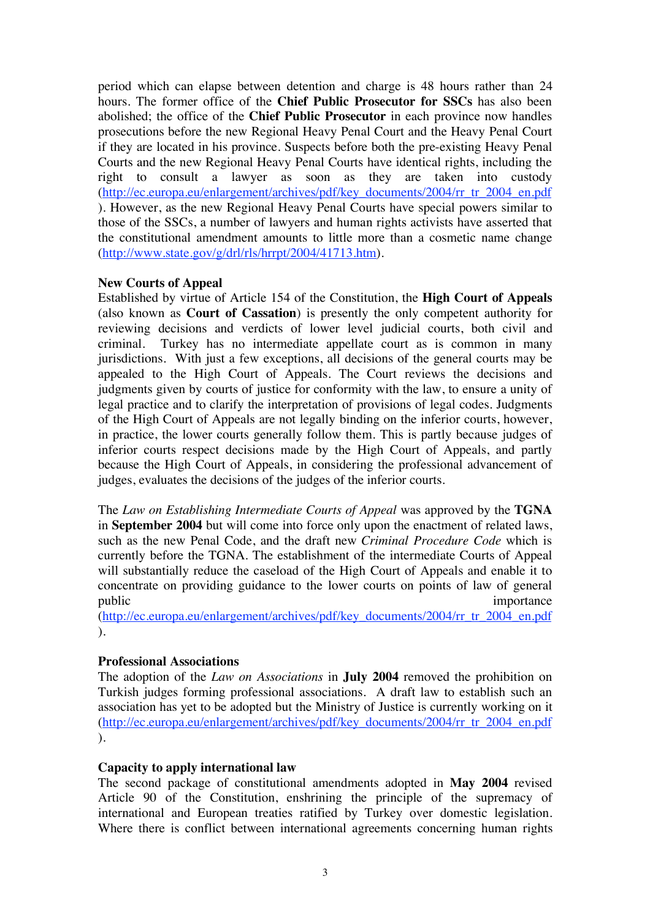period which can elapse between detention and charge is 48 hours rather than 24 hours. The former office of the **Chief Public Prosecutor for SSCs** has also been abolished; the office of the **Chief Public Prosecutor** in each province now handles prosecutions before the new Regional Heavy Penal Court and the Heavy Penal Court if they are located in his province. Suspects before both the pre-existing Heavy Penal Courts and the new Regional Heavy Penal Courts have identical rights, including the right to consult a lawyer as soon as they are taken into custody (http://ec.europa.eu/enlargement/archives/pdf/key\_documents/2004/rr\_tr\_2004\_en.pdf ). However, as the new Regional Heavy Penal Courts have special powers similar to those of the SSCs, a number of lawyers and human rights activists have asserted that the constitutional amendment amounts to little more than a cosmetic name change (http://www.state.gov/g/drl/rls/hrrpt/2004/41713.htm).

# **New Courts of Appeal**

Established by virtue of Article 154 of the Constitution, the **High Court of Appeals** (also known as **Court of Cassation**) is presently the only competent authority for reviewing decisions and verdicts of lower level judicial courts, both civil and criminal. Turkey has no intermediate appellate court as is common in many jurisdictions. With just a few exceptions, all decisions of the general courts may be appealed to the High Court of Appeals. The Court reviews the decisions and judgments given by courts of justice for conformity with the law, to ensure a unity of legal practice and to clarify the interpretation of provisions of legal codes. Judgments of the High Court of Appeals are not legally binding on the inferior courts, however, in practice, the lower courts generally follow them. This is partly because judges of inferior courts respect decisions made by the High Court of Appeals, and partly because the High Court of Appeals, in considering the professional advancement of judges, evaluates the decisions of the judges of the inferior courts.

The *Law on Establishing Intermediate Courts of Appeal* was approved by the **TGNA** in **September 2004** but will come into force only upon the enactment of related laws, such as the new Penal Code, and the draft new *Criminal Procedure Code* which is currently before the TGNA. The establishment of the intermediate Courts of Appeal will substantially reduce the caseload of the High Court of Appeals and enable it to concentrate on providing guidance to the lower courts on points of law of general public importance importance

(http://ec.europa.eu/enlargement/archives/pdf/key\_documents/2004/rr\_tr\_2004\_en.pdf ).

# **Professional Associations**

The adoption of the *Law on Associations* in **July 2004** removed the prohibition on Turkish judges forming professional associations. A draft law to establish such an association has yet to be adopted but the Ministry of Justice is currently working on it (http://ec.europa.eu/enlargement/archives/pdf/key\_documents/2004/rr\_tr\_2004\_en.pdf ).

#### **Capacity to apply international law**

The second package of constitutional amendments adopted in **May 2004** revised Article 90 of the Constitution, enshrining the principle of the supremacy of international and European treaties ratified by Turkey over domestic legislation. Where there is conflict between international agreements concerning human rights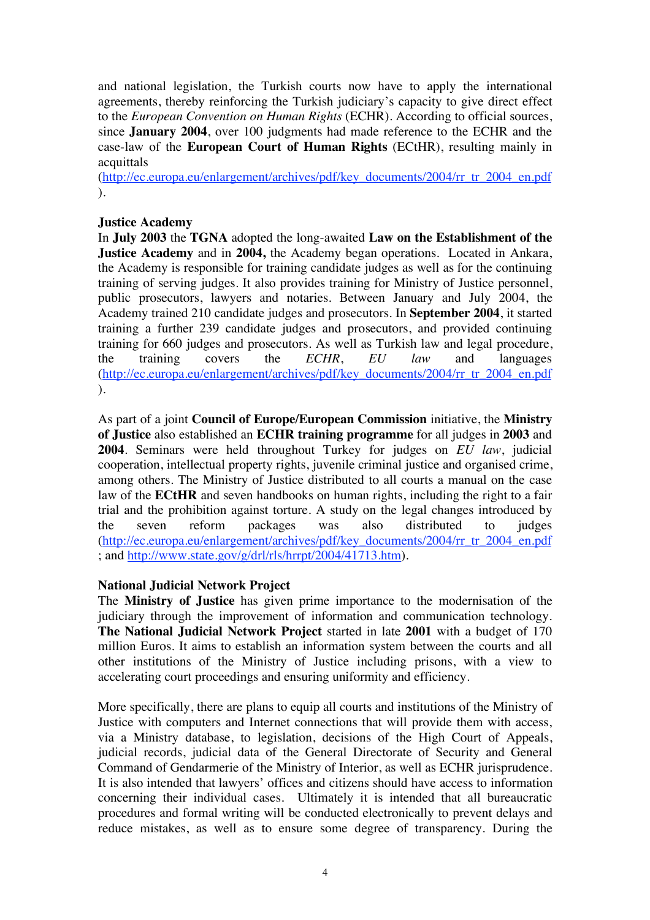and national legislation, the Turkish courts now have to apply the international agreements, thereby reinforcing the Turkish judiciary's capacity to give direct effect to the *European Convention on Human Rights* (ECHR). According to official sources, since **January 2004**, over 100 judgments had made reference to the ECHR and the case-law of the **European Court of Human Rights** (ECtHR), resulting mainly in acquittals

(http://ec.europa.eu/enlargement/archives/pdf/key\_documents/2004/rr\_tr\_2004\_en.pdf ).

#### **Justice Academy**

In **July 2003** the **TGNA** adopted the long-awaited **Law on the Establishment of the Justice Academy** and in **2004,** the Academy began operations. Located in Ankara, the Academy is responsible for training candidate judges as well as for the continuing training of serving judges. It also provides training for Ministry of Justice personnel, public prosecutors, lawyers and notaries. Between January and July 2004, the Academy trained 210 candidate judges and prosecutors. In **September 2004**, it started training a further 239 candidate judges and prosecutors, and provided continuing training for 660 judges and prosecutors. As well as Turkish law and legal procedure, the training covers the *ECHR*, *EU law* and languages (http://ec.europa.eu/enlargement/archives/pdf/key\_documents/2004/rr\_tr\_2004\_en.pdf ).

As part of a joint **Council of Europe/European Commission** initiative, the **Ministry of Justice** also established an **ECHR training programme** for all judges in **2003** and **2004**. Seminars were held throughout Turkey for judges on *EU law*, judicial cooperation, intellectual property rights, juvenile criminal justice and organised crime, among others. The Ministry of Justice distributed to all courts a manual on the case law of the **ECtHR** and seven handbooks on human rights, including the right to a fair trial and the prohibition against torture. A study on the legal changes introduced by the seven reform packages was also distributed to judges (http://ec.europa.eu/enlargement/archives/pdf/key\_documents/2004/rr\_tr\_2004\_en.pdf ; and http://www.state.gov/g/drl/rls/hrrpt/2004/41713.htm).

#### **National Judicial Network Project**

The **Ministry of Justice** has given prime importance to the modernisation of the judiciary through the improvement of information and communication technology. **The National Judicial Network Project** started in late **2001** with a budget of 170 million Euros. It aims to establish an information system between the courts and all other institutions of the Ministry of Justice including prisons, with a view to accelerating court proceedings and ensuring uniformity and efficiency.

More specifically, there are plans to equip all courts and institutions of the Ministry of Justice with computers and Internet connections that will provide them with access, via a Ministry database, to legislation, decisions of the High Court of Appeals, judicial records, judicial data of the General Directorate of Security and General Command of Gendarmerie of the Ministry of Interior, as well as ECHR jurisprudence. It is also intended that lawyers' offices and citizens should have access to information concerning their individual cases. Ultimately it is intended that all bureaucratic procedures and formal writing will be conducted electronically to prevent delays and reduce mistakes, as well as to ensure some degree of transparency. During the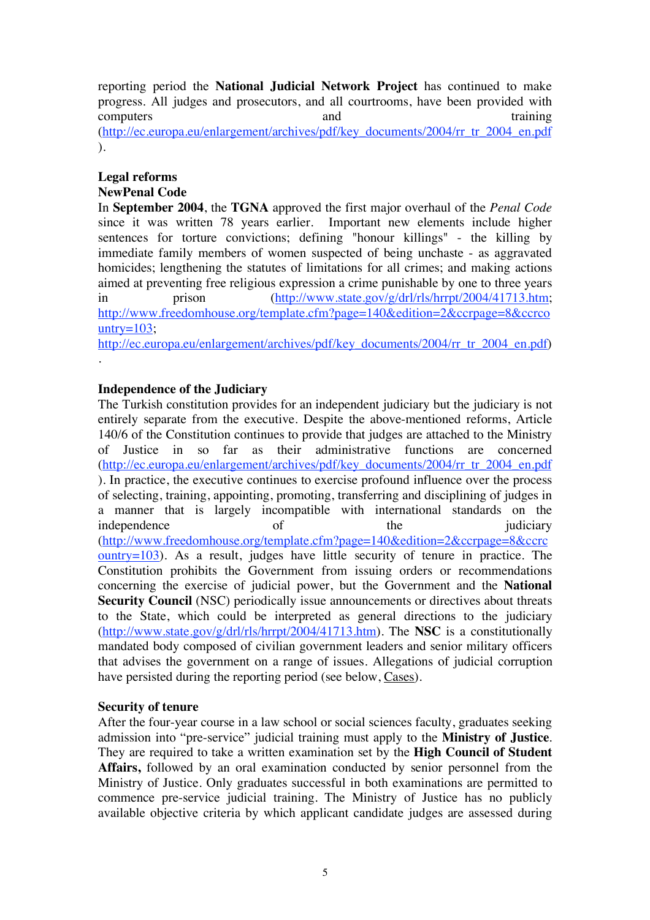reporting period the **National Judicial Network Project** has continued to make progress. All judges and prosecutors, and all courtrooms, have been provided with computers and training (http://ec.europa.eu/enlargement/archives/pdf/key\_documents/2004/rr\_tr\_2004\_en.pdf ).

# **Legal reforms NewPenal Code**

In **September 2004**, the **TGNA** approved the first major overhaul of the *Penal Code* Important new elements include higher. sentences for torture convictions; defining "honour killings" - the killing by immediate family members of women suspected of being unchaste - as aggravated homicides; lengthening the statutes of limitations for all crimes; and making actions aimed at preventing free religious expression a crime punishable by one to three years in prison (http://www.state.gov/g/drl/rls/hrrpt/2004/41713.htm; http://www.freedomhouse.org/template.cfm?page=140&edition=2&ccrpage=8&ccrco untry= $103$ ;

http://ec.europa.eu/enlargement/archives/pdf/key\_documents/2004/rr\_tr\_2004\_en.pdf) .

# **Independence of the Judiciary**

The Turkish constitution provides for an independent judiciary but the judiciary is not entirely separate from the executive. Despite the above-mentioned reforms, Article 140/6 of the Constitution continues to provide that judges are attached to the Ministry of Justice in so far as their administrative functions are concerned (http://ec.europa.eu/enlargement/archives/pdf/key\_documents/2004/rr\_tr\_2004\_en.pdf ). In practice, the executive continues to exercise profound influence over the process of selecting, training, appointing, promoting, transferring and disciplining of judges in a manner that is largely incompatible with international standards on the independence of the  $\frac{1}{2}$ (http://www.freedomhouse.org/template.cfm?page=140&edition=2&ccrpage=8&ccrc ountry=103). As a result, judges have little security of tenure in practice. The Constitution prohibits the Government from issuing orders or recommendations concerning the exercise of judicial power, but the Government and the **National Security Council** (NSC) periodically issue announcements or directives about threats to the State, which could be interpreted as general directions to the judiciary (http://www.state.gov/g/drl/rls/hrrpt/2004/41713.htm). The **NSC** is a constitutionally mandated body composed of civilian government leaders and senior military officers that advises the government on a range of issues. Allegations of judicial corruption have persisted during the reporting period (see below, Cases).

# **Security of tenure**

After the four-year course in a law school or social sciences faculty, graduates seeking admission into "pre-service" judicial training must apply to the **Ministry of Justice**. They are required to take a written examination set by the **High Council of Student Affairs,** followed by an oral examination conducted by senior personnel from the Ministry of Justice. Only graduates successful in both examinations are permitted to commence pre-service judicial training. The Ministry of Justice has no publicly available objective criteria by which applicant candidate judges are assessed during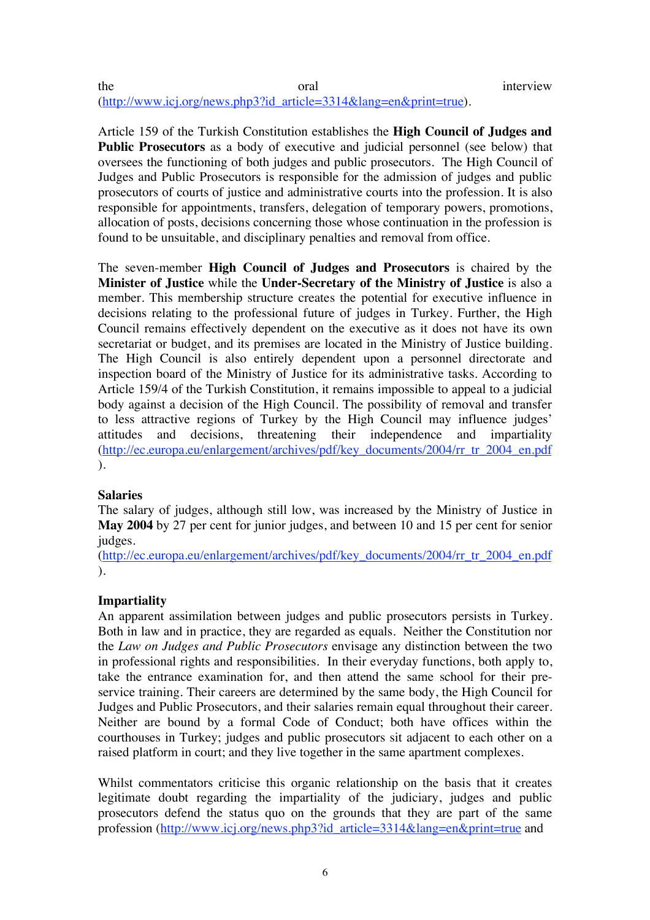#### the oral oral interview (http://www.icj.org/news.php3?id\_article=3314&lang=en&print=true).

Article 159 of the Turkish Constitution establishes the **High Council of Judges and Public Prosecutors** as a body of executive and judicial personnel (see below) that oversees the functioning of both judges and public prosecutors. The High Council of Judges and Public Prosecutors is responsible for the admission of judges and public prosecutors of courts of justice and administrative courts into the profession. It is also responsible for appointments, transfers, delegation of temporary powers, promotions, allocation of posts, decisions concerning those whose continuation in the profession is found to be unsuitable, and disciplinary penalties and removal from office.

The seven-member **High Council of Judges and Prosecutors** is chaired by the **Minister of Justice** while the **Under-Secretary of the Ministry of Justice** is also a member. This membership structure creates the potential for executive influence in decisions relating to the professional future of judges in Turkey. Further, the High Council remains effectively dependent on the executive as it does not have its own secretariat or budget, and its premises are located in the Ministry of Justice building. The High Council is also entirely dependent upon a personnel directorate and inspection board of the Ministry of Justice for its administrative tasks. According to Article 159/4 of the Turkish Constitution, it remains impossible to appeal to a judicial body against a decision of the High Council. The possibility of removal and transfer to less attractive regions of Turkey by the High Council may influence judges' attitudes and decisions, threatening their independence and impartiality (http://ec.europa.eu/enlargement/archives/pdf/key\_documents/2004/rr\_tr\_2004\_en.pdf ).

#### **Salaries**

The salary of judges, although still low, was increased by the Ministry of Justice in **May 2004** by 27 per cent for junior judges, and between 10 and 15 per cent for senior judges.

(http://ec.europa.eu/enlargement/archives/pdf/key\_documents/2004/rr\_tr\_2004\_en.pdf ).

# **Impartiality**

An apparent assimilation between judges and public prosecutors persists in Turkey. Both in law and in practice, they are regarded as equals. Neither the Constitution nor the *Law on Judges and Public Prosecutors* envisage any distinction between the two in professional rights and responsibilities. In their everyday functions, both apply to, take the entrance examination for, and then attend the same school for their preservice training. Their careers are determined by the same body, the High Council for Judges and Public Prosecutors, and their salaries remain equal throughout their career. Neither are bound by a formal Code of Conduct; both have offices within the courthouses in Turkey; judges and public prosecutors sit adjacent to each other on a raised platform in court; and they live together in the same apartment complexes.

Whilst commentators criticise this organic relationship on the basis that it creates legitimate doubt regarding the impartiality of the judiciary, judges and public prosecutors defend the status quo on the grounds that they are part of the same profession (http://www.icj.org/news.php3?id\_article=3314&lang=en&print=true and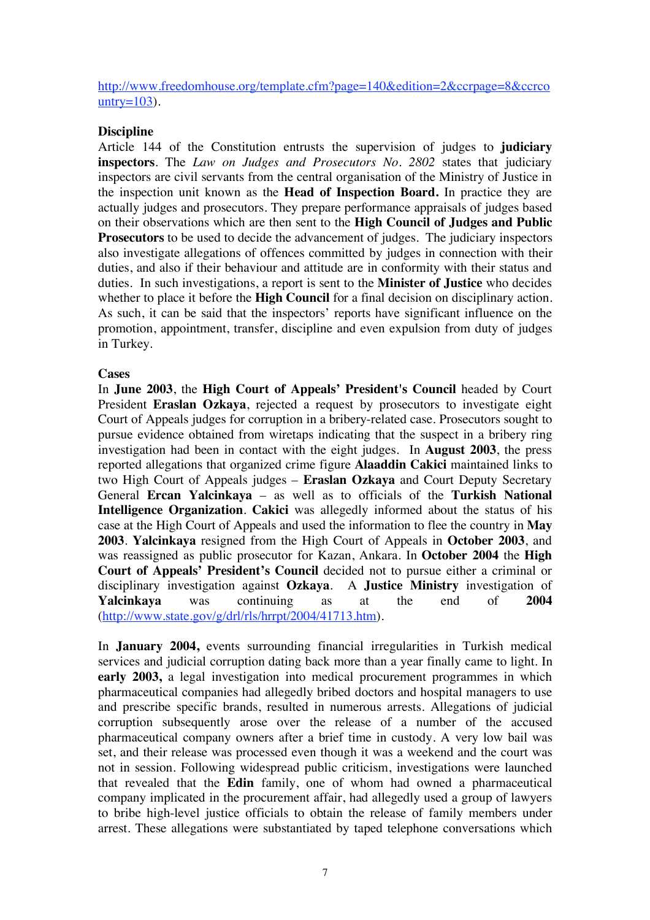http://www.freedomhouse.org/template.cfm?page=140&edition=2&ccrpage=8&ccrco  $untry=103$ ).

#### **Discipline**

Article 144 of the Constitution entrusts the supervision of judges to **judiciary inspectors**. The *Law on Judges and Prosecutors No. 2802* states that judiciary inspectors are civil servants from the central organisation of the Ministry of Justice in the inspection unit known as the **Head of Inspection Board.** In practice they are actually judges and prosecutors. They prepare performance appraisals of judges based on their observations which are then sent to the **High Council of Judges and Public Prosecutors** to be used to decide the advancement of judges. The judiciary inspectors also investigate allegations of offences committed by judges in connection with their duties, and also if their behaviour and attitude are in conformity with their status and duties. In such investigations, a report is sent to the **Minister of Justice** who decides whether to place it before the **High Council** for a final decision on disciplinary action. As such, it can be said that the inspectors' reports have significant influence on the promotion, appointment, transfer, discipline and even expulsion from duty of judges in Turkey.

#### **Cases**

In **June 2003**, the **High Court of Appeals' President's Council** headed by Court President **Eraslan Ozkaya**, rejected a request by prosecutors to investigate eight Court of Appeals judges for corruption in a bribery-related case. Prosecutors sought to pursue evidence obtained from wiretaps indicating that the suspect in a bribery ring investigation had been in contact with the eight judges. In **August 2003**, the press reported allegations that organized crime figure **Alaaddin Cakici** maintained links to two High Court of Appeals judges – **Eraslan Ozkaya** and Court Deputy Secretary General **Ercan Yalcinkaya** – as well as to officials of the **Turkish National Intelligence Organization**. **Cakici** was allegedly informed about the status of his case at the High Court of Appeals and used the information to flee the country in **May 2003**. **Yalcinkaya** resigned from the High Court of Appeals in **October 2003**, and was reassigned as public prosecutor for Kazan, Ankara. In **October 2004** the **High Court of Appeals' President's Council** decided not to pursue either a criminal or disciplinary investigation against **Ozkaya**. A **Justice Ministry** investigation of **Yalcinkaya** was continuing as at the end of **2004**  $(\text{http://www.state.gov/g/dr/rls/hrrpt/2004/41713.htm}).$ 

In **January 2004,** events surrounding financial irregularities in Turkish medical services and judicial corruption dating back more than a year finally came to light. In **early 2003,** a legal investigation into medical procurement programmes in which pharmaceutical companies had allegedly bribed doctors and hospital managers to use and prescribe specific brands, resulted in numerous arrests. Allegations of judicial corruption subsequently arose over the release of a number of the accused pharmaceutical company owners after a brief time in custody. A very low bail was set, and their release was processed even though it was a weekend and the court was not in session. Following widespread public criticism, investigations were launched that revealed that the **Edin** family, one of whom had owned a pharmaceutical company implicated in the procurement affair, had allegedly used a group of lawyers to bribe high-level justice officials to obtain the release of family members under arrest. These allegations were substantiated by taped telephone conversations which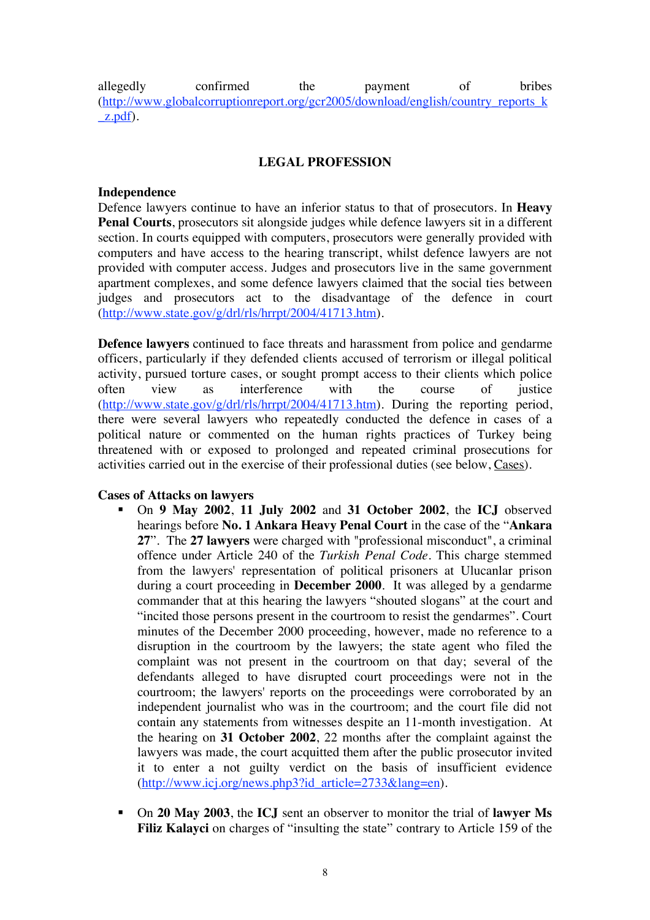allegedly confirmed the payment of bribes (http://www.globalcorruptionreport.org/gcr2005/download/english/country\_reports\_k \_z.pdf).

#### **LEGAL PROFESSION**

#### **Independence**

Defence lawyers continue to have an inferior status to that of prosecutors. In **Heavy Penal Courts**, prosecutors sit alongside judges while defence lawyers sit in a different section. In courts equipped with computers, prosecutors were generally provided with computers and have access to the hearing transcript, whilst defence lawyers are not provided with computer access. Judges and prosecutors live in the same government apartment complexes, and some defence lawyers claimed that the social ties between judges and prosecutors act to the disadvantage of the defence in court (http://www.state.gov/g/drl/rls/hrrpt/2004/41713.htm).

**Defence lawyers** continued to face threats and harassment from police and gendarme officers, particularly if they defended clients accused of terrorism or illegal political activity, pursued torture cases, or sought prompt access to their clients which police often view as interference with the course of justice (http://www.state.gov/g/drl/rls/hrrpt/2004/41713.htm). During the reporting period, there were several lawyers who repeatedly conducted the defence in cases of a political nature or commented on the human rights practices of Turkey being threatened with or exposed to prolonged and repeated criminal prosecutions for activities carried out in the exercise of their professional duties (see below, Cases).

#### **Cases of Attacks on lawyers**

- On **9 May 2002**, **11 July 2002** and **31 October 2002**, the **ICJ** observed hearings before **No. 1 Ankara Heavy Penal Court** in the case of the "**Ankara 27**". The **27 lawyers** were charged with "professional misconduct", a criminal offence under Article 240 of the *Turkish Penal Code*. This charge stemmed from the lawyers' representation of political prisoners at Ulucanlar prison during a court proceeding in **December 2000**. It was alleged by a gendarme commander that at this hearing the lawyers "shouted slogans" at the court and "incited those persons present in the courtroom to resist the gendarmes". Court minutes of the December 2000 proceeding, however, made no reference to a disruption in the courtroom by the lawyers; the state agent who filed the complaint was not present in the courtroom on that day; several of the defendants alleged to have disrupted court proceedings were not in the courtroom; the lawyers' reports on the proceedings were corroborated by an independent journalist who was in the courtroom; and the court file did not contain any statements from witnesses despite an 11-month investigation. At the hearing on **31 October 2002**, 22 months after the complaint against the lawyers was made, the court acquitted them after the public prosecutor invited it to enter a not guilty verdict on the basis of insufficient evidence (http://www.icj.org/news.php3?id\_article=2733&lang=en).
- On **20 May 2003**, the **ICJ** sent an observer to monitor the trial of **lawyer Ms**  Filiz Kalayci on charges of "insulting the state" contrary to Article 159 of the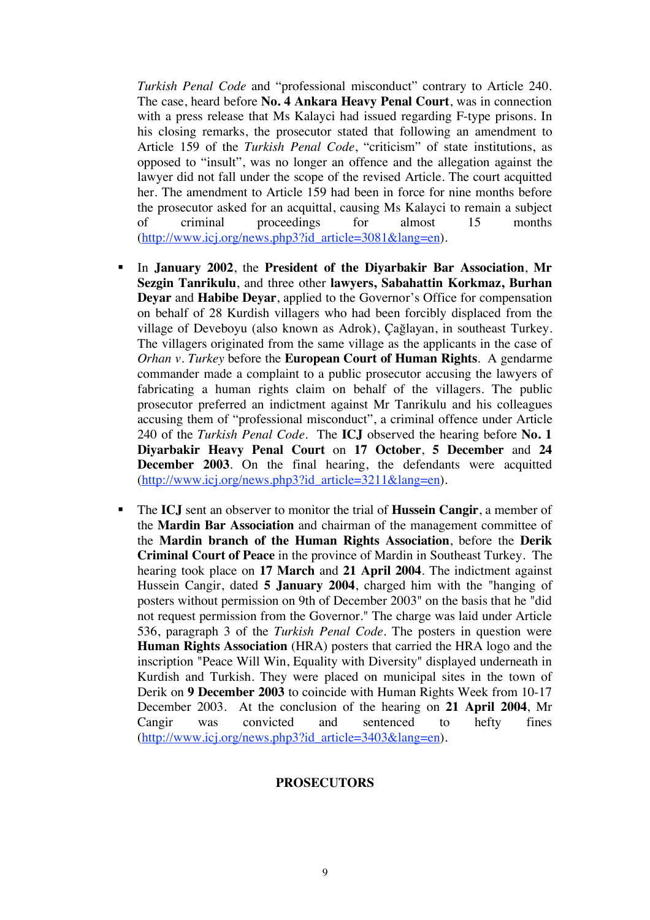*Turkish Penal Code* and "professional misconduct" contrary to Article 240. The case, heard before **No. 4 Ankara Heavy Penal Court**, was in connection with a press release that Ms Kalayci had issued regarding F-type prisons. In his closing remarks, the prosecutor stated that following an amendment to Article 159 of the *Turkish Penal Code*, "criticism" of state institutions, as opposed to "insult", was no longer an offence and the allegation against the lawyer did not fall under the scope of the revised Article. The court acquitted her. The amendment to Article 159 had been in force for nine months before the prosecutor asked for an acquittal, causing Ms Kalayci to remain a subject of criminal proceedings for almost 15 months (http://www.icj.org/news.php3?id\_article=3081&lang=en).

- In **January 2002**, the **President of the Diyarbakir Bar Association**, **Mr Sezgin Tanrikulu**, and three other **lawyers, Sabahattin Korkmaz, Burhan Deyar** and **Habibe Deyar**, applied to the Governor's Office for compensation on behalf of 28 Kurdish villagers who had been forcibly displaced from the village of Deveboyu (also known as Adrok), Çağlayan, in southeast Turkey. The villagers originated from the same village as the applicants in the case of *Orhan v. Turkey* before the **European Court of Human Rights**. A gendarme commander made a complaint to a public prosecutor accusing the lawyers of fabricating a human rights claim on behalf of the villagers. The public prosecutor preferred an indictment against Mr Tanrikulu and his colleagues accusing them of "professional misconduct", a criminal offence under Article 240 of the *Turkish Penal Code*. The **ICJ** observed the hearing before **No. 1 Diyarbakir Heavy Penal Court** on **17 October**, **5 December** and **24 December 2003**. On the final hearing, the defendants were acquitted (http://www.icj.org/news.php3?id\_article=3211&lang=en).
- The **ICJ** sent an observer to monitor the trial of **Hussein Cangir**, a member of the **Mardin Bar Association** and chairman of the management committee of the **Mardin branch of the Human Rights Association**, before the **Derik Criminal Court of Peace** in the province of Mardin in Southeast Turkey. The hearing took place on **17 March** and **21 April 2004**. The indictment against Hussein Cangir, dated **5 January 2004**, charged him with the "hanging of posters without permission on 9th of December 2003" on the basis that he "did not request permission from the Governor." The charge was laid under Article 536, paragraph 3 of the *Turkish Penal Code*. The posters in question were **Human Rights Association** (HRA) posters that carried the HRA logo and the inscription "Peace Will Win, Equality with Diversity" displayed underneath in Kurdish and Turkish. They were placed on municipal sites in the town of Derik on **9 December 2003** to coincide with Human Rights Week from 10-17 December 2003. At the conclusion of the hearing on **21 April 2004**, Mr Cangir was convicted and sentenced to hefty fines (http://www.icj.org/news.php3?id\_article=3403&lang=en).

#### **PROSECUTORS**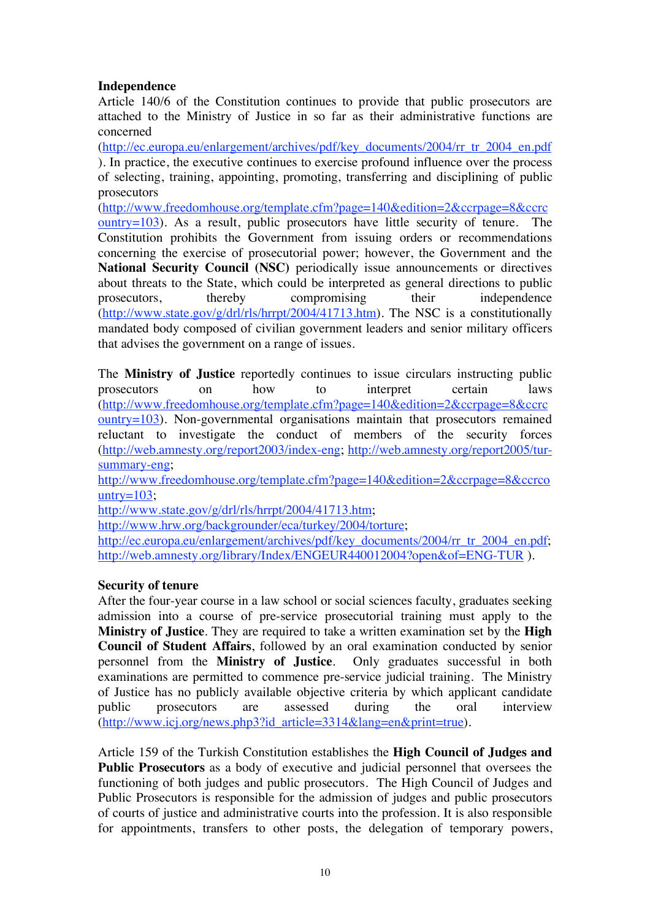# **Independence**

Article 140/6 of the Constitution continues to provide that public prosecutors are attached to the Ministry of Justice in so far as their administrative functions are concerned

(http://ec.europa.eu/enlargement/archives/pdf/key\_documents/2004/rr\_tr\_2004\_en.pdf ). In practice, the executive continues to exercise profound influence over the process of selecting, training, appointing, promoting, transferring and disciplining of public prosecutors

(http://www.freedomhouse.org/template.cfm?page=140&edition=2&ccrpage=8&ccrc  $\frac{\text{output}}{103}$ . As a result, public prosecutors have little security of tenure. The Constitution prohibits the Government from issuing orders or recommendations concerning the exercise of prosecutorial power; however, the Government and the **National Security Council (NSC)** periodically issue announcements or directives about threats to the State, which could be interpreted as general directions to public prosecutors, thereby compromising their independence (http://www.state.gov/g/drl/rls/hrrpt/2004/41713.htm). The NSC is a constitutionally mandated body composed of civilian government leaders and senior military officers that advises the government on a range of issues.

The **Ministry of Justice** reportedly continues to issue circulars instructing public prosecutors on how to interpret certain laws (http://www.freedomhouse.org/template.cfm?page=140&edition=2&ccrpage=8&ccrc  $\frac{\text{output}}{103}$ . Non-governmental organisations maintain that prosecutors remained reluctant to investigate the conduct of members of the security forces (http://web.amnesty.org/report2003/index-eng; http://web.amnesty.org/report2005/tursummary-eng;

http://www.freedomhouse.org/template.cfm?page=140&edition=2&ccrpage=8&ccrco untry= $103$ ;

http://www.state.gov/g/drl/rls/hrrpt/2004/41713.htm;

http://www.hrw.org/backgrounder/eca/turkey/2004/torture;

http://ec.europa.eu/enlargement/archives/pdf/key\_documents/2004/rr\_tr\_2004\_en.pdf; http://web.amnesty.org/library/Index/ENGEUR440012004?open&of=ENG-TUR ).

#### **Security of tenure**

After the four-year course in a law school or social sciences faculty, graduates seeking admission into a course of pre-service prosecutorial training must apply to the **Ministry of Justice**. They are required to take a written examination set by the **High Council of Student Affairs**, followed by an oral examination conducted by senior personnel from the **Ministry of Justice**. Only graduates successful in both examinations are permitted to commence pre-service judicial training. The Ministry of Justice has no publicly available objective criteria by which applicant candidate public prosecutors are assessed during the oral interview (http://www.icj.org/news.php3?id\_article=3314&lang=en&print=true).

Article 159 of the Turkish Constitution establishes the **High Council of Judges and Public Prosecutors** as a body of executive and judicial personnel that oversees the functioning of both judges and public prosecutors. The High Council of Judges and Public Prosecutors is responsible for the admission of judges and public prosecutors of courts of justice and administrative courts into the profession. It is also responsible for appointments, transfers to other posts, the delegation of temporary powers,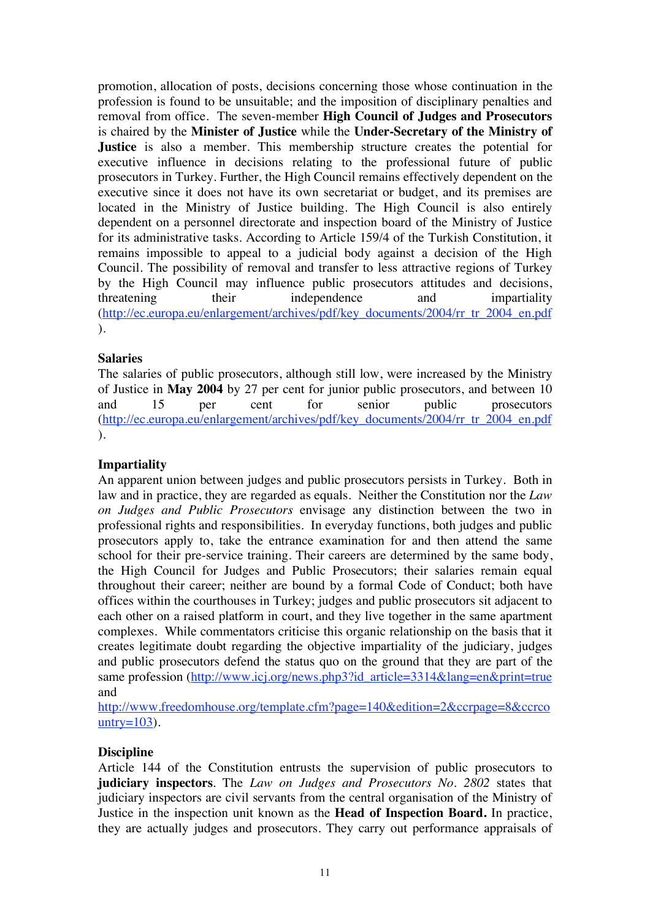promotion, allocation of posts, decisions concerning those whose continuation in the profession is found to be unsuitable; and the imposition of disciplinary penalties and removal from office. The seven-member **High Council of Judges and Prosecutors** is chaired by the **Minister of Justice** while the **Under-Secretary of the Ministry of Justice** is also a member. This membership structure creates the potential for executive influence in decisions relating to the professional future of public prosecutors in Turkey. Further, the High Council remains effectively dependent on the executive since it does not have its own secretariat or budget, and its premises are located in the Ministry of Justice building. The High Council is also entirely dependent on a personnel directorate and inspection board of the Ministry of Justice for its administrative tasks. According to Article 159/4 of the Turkish Constitution, it remains impossible to appeal to a judicial body against a decision of the High Council. The possibility of removal and transfer to less attractive regions of Turkey by the High Council may influence public prosecutors attitudes and decisions, threatening their independence and impartiality (http://ec.europa.eu/enlargement/archives/pdf/key\_documents/2004/rr\_tr\_2004\_en.pdf ).

# **Salaries**

The salaries of public prosecutors, although still low, were increased by the Ministry of Justice in **May 2004** by 27 per cent for junior public prosecutors, and between 10 and 15 per cent for senior public prosecutors (http://ec.europa.eu/enlargement/archives/pdf/key\_documents/2004/rr\_tr\_2004\_en.pdf ).

# **Impartiality**

An apparent union between judges and public prosecutors persists in Turkey. Both in law and in practice, they are regarded as equals. Neither the Constitution nor the *Law on Judges and Public Prosecutors* envisage any distinction between the two in professional rights and responsibilities. In everyday functions, both judges and public prosecutors apply to, take the entrance examination for and then attend the same school for their pre-service training. Their careers are determined by the same body, the High Council for Judges and Public Prosecutors; their salaries remain equal throughout their career; neither are bound by a formal Code of Conduct; both have offices within the courthouses in Turkey; judges and public prosecutors sit adjacent to each other on a raised platform in court, and they live together in the same apartment complexes. While commentators criticise this organic relationship on the basis that it creates legitimate doubt regarding the objective impartiality of the judiciary, judges and public prosecutors defend the status quo on the ground that they are part of the same profession (http://www.icj.org/news.php3?id\_article=3314&lang=en&print=true and

http://www.freedomhouse.org/template.cfm?page=140&edition=2&ccrpage=8&ccrco untry= $103$ ).

#### **Discipline**

Article 144 of the Constitution entrusts the supervision of public prosecutors to **judiciary inspectors**. The *Law on Judges and Prosecutors No. 2802* states that judiciary inspectors are civil servants from the central organisation of the Ministry of Justice in the inspection unit known as the **Head of Inspection Board.** In practice, they are actually judges and prosecutors. They carry out performance appraisals of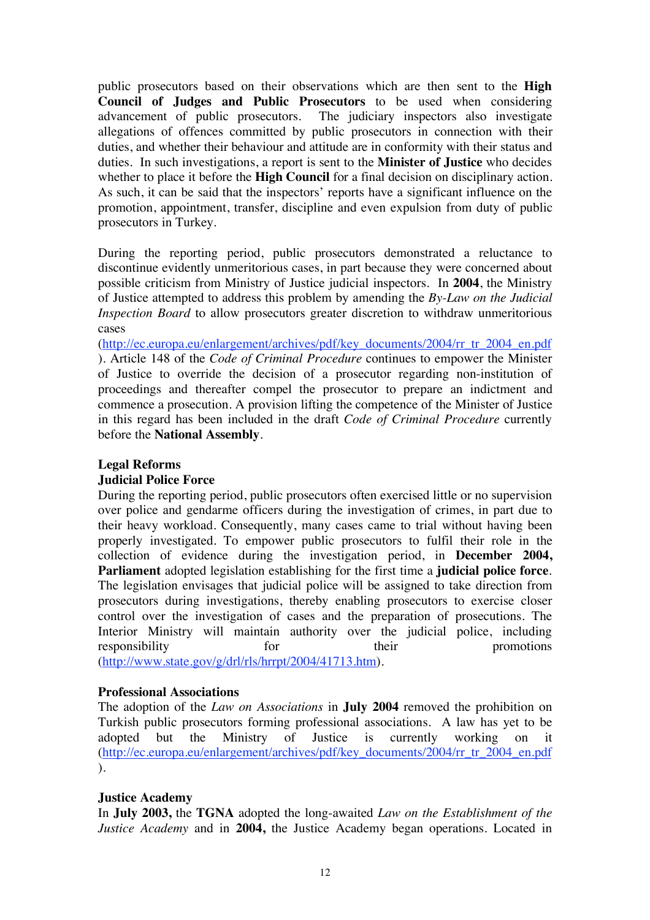public prosecutors based on their observations which are then sent to the **High Council of Judges and Public Prosecutors** to be used when considering advancement of public prosecutors. The judiciary inspectors also investigate allegations of offences committed by public prosecutors in connection with their duties, and whether their behaviour and attitude are in conformity with their status and duties. In such investigations, a report is sent to the **Minister of Justice** who decides whether to place it before the **High Council** for a final decision on disciplinary action. As such, it can be said that the inspectors' reports have a significant influence on the promotion, appointment, transfer, discipline and even expulsion from duty of public prosecutors in Turkey.

During the reporting period, public prosecutors demonstrated a reluctance to discontinue evidently unmeritorious cases, in part because they were concerned about possible criticism from Ministry of Justice judicial inspectors. In **2004**, the Ministry of Justice attempted to address this problem by amending the *By-Law on the Judicial Inspection Board* to allow prosecutors greater discretion to withdraw unmeritorious cases

(http://ec.europa.eu/enlargement/archives/pdf/key\_documents/2004/rr\_tr\_2004\_en.pdf ). Article 148 of the *Code of Criminal Procedure* continues to empower the Minister of Justice to override the decision of a prosecutor regarding non-institution of proceedings and thereafter compel the prosecutor to prepare an indictment and commence a prosecution. A provision lifting the competence of the Minister of Justice in this regard has been included in the draft *Code of Criminal Procedure* currently before the **National Assembly**.

### **Legal Reforms**

#### **Judicial Police Force**

During the reporting period, public prosecutors often exercised little or no supervision over police and gendarme officers during the investigation of crimes, in part due to their heavy workload. Consequently, many cases came to trial without having been properly investigated. To empower public prosecutors to fulfil their role in the collection of evidence during the investigation period, in **December 2004, Parliament** adopted legislation establishing for the first time a **judicial police force**. The legislation envisages that judicial police will be assigned to take direction from prosecutors during investigations, thereby enabling prosecutors to exercise closer control over the investigation of cases and the preparation of prosecutions. The Interior Ministry will maintain authority over the judicial police, including responsibility for their promotions responsibility for their promotions (http://www.state.gov/g/drl/rls/hrrpt/2004/41713.htm).

# **Professional Associations**

The adoption of the *Law on Associations* in **July 2004** removed the prohibition on Turkish public prosecutors forming professional associations. A law has yet to be adopted but the Ministry of Justice is currently working on it (http://ec.europa.eu/enlargement/archives/pdf/key\_documents/2004/rr\_tr\_2004\_en.pdf ).

# **Justice Academy**

In **July 2003,** the **TGNA** adopted the long-awaited *Law on the Establishment of the Justice Academy* and in **2004,** the Justice Academy began operations. Located in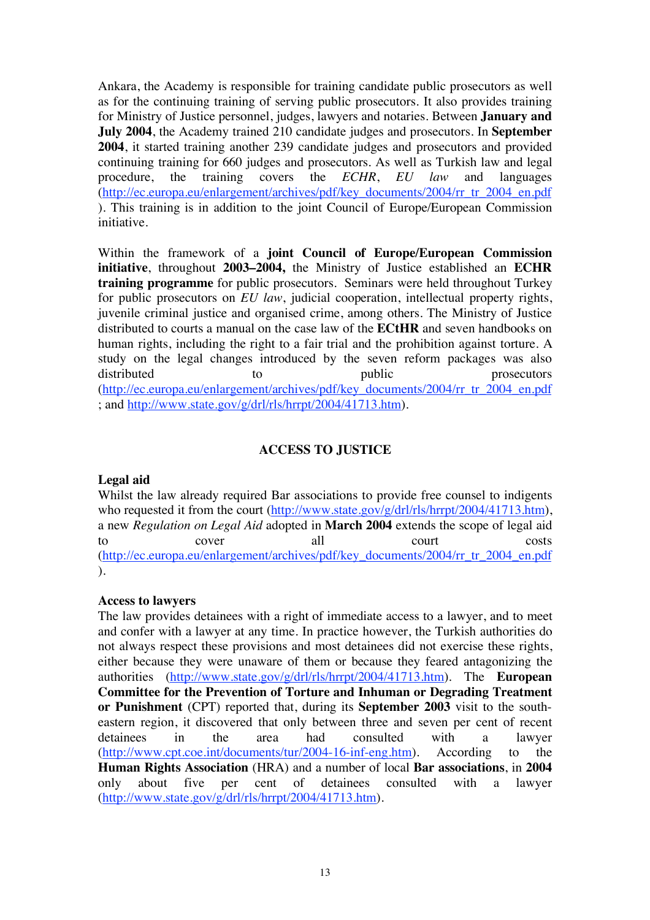Ankara, the Academy is responsible for training candidate public prosecutors as well as for the continuing training of serving public prosecutors. It also provides training for Ministry of Justice personnel, judges, lawyers and notaries. Between **January and July 2004**, the Academy trained 210 candidate judges and prosecutors. In **September 2004**, it started training another 239 candidate judges and prosecutors and provided continuing training for 660 judges and prosecutors. As well as Turkish law and legal procedure, the training covers the *ECHR*, *EU law* and languages (http://ec.europa.eu/enlargement/archives/pdf/key\_documents/2004/rr\_tr\_2004\_en.pdf ). This training is in addition to the joint Council of Europe/European Commission initiative.

Within the framework of a **joint Council of Europe/European Commission initiative**, throughout **2003–2004,** the Ministry of Justice established an **ECHR training programme** for public prosecutors. Seminars were held throughout Turkey for public prosecutors on *EU law*, judicial cooperation, intellectual property rights, juvenile criminal justice and organised crime, among others. The Ministry of Justice distributed to courts a manual on the case law of the **ECtHR** and seven handbooks on human rights, including the right to a fair trial and the prohibition against torture. A study on the legal changes introduced by the seven reform packages was also distributed to to public prosecutors (http://ec.europa.eu/enlargement/archives/pdf/key\_documents/2004/rr\_tr\_2004\_en.pdf ; and http://www.state.gov/g/drl/rls/hrrpt/2004/41713.htm).

# **ACCESS TO JUSTICE**

#### **Legal aid**

Whilst the law already required Bar associations to provide free counsel to indigents who requested it from the court (http://www.state.gov/g/drl/rls/hrrpt/2004/41713.htm), a new *Regulation on Legal Aid* adopted in **March 2004** extends the scope of legal aid to cover all court costs (http://ec.europa.eu/enlargement/archives/pdf/key\_documents/2004/rr\_tr\_2004\_en.pdf ).

#### **Access to lawyers**

The law provides detainees with a right of immediate access to a lawyer, and to meet and confer with a lawyer at any time. In practice however, the Turkish authorities do not always respect these provisions and most detainees did not exercise these rights, either because they were unaware of them or because they feared antagonizing the authorities (http://www.state.gov/g/drl/rls/hrrpt/2004/41713.htm). The **European Committee for the Prevention of Torture and Inhuman or Degrading Treatment or Punishment** (CPT) reported that, during its **September 2003** visit to the southeastern region, it discovered that only between three and seven per cent of recent detainees in the area had consulted with a lawyer (http://www.cpt.coe.int/documents/tur/2004-16-inf-eng.htm). According to the **Human Rights Association** (HRA) and a number of local **Bar associations**, in **2004** only about five per cent of detainees consulted with a lawyer (http://www.state.gov/g/drl/rls/hrrpt/2004/41713.htm).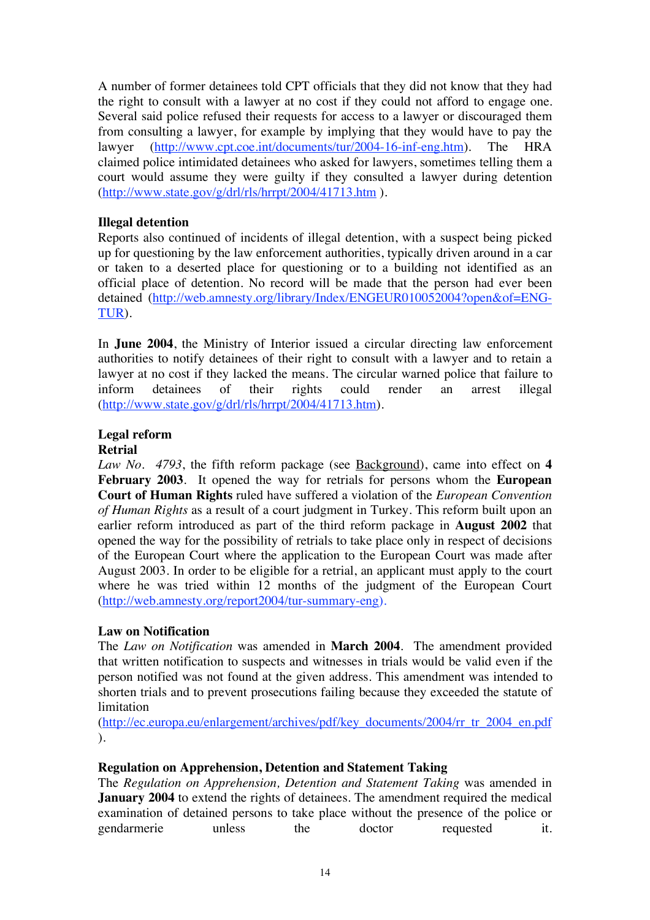A number of former detainees told CPT officials that they did not know that they had the right to consult with a lawyer at no cost if they could not afford to engage one. Several said police refused their requests for access to a lawyer or discouraged them from consulting a lawyer, for example by implying that they would have to pay the lawyer (http://www.cpt.coe.int/documents/tur/2004-16-inf-eng.htm). The HRA claimed police intimidated detainees who asked for lawyers, sometimes telling them a court would assume they were guilty if they consulted a lawyer during detention (http://www.state.gov/g/drl/rls/hrrpt/2004/41713.htm ).

# **Illegal detention**

Reports also continued of incidents of illegal detention, with a suspect being picked up for questioning by the law enforcement authorities, typically driven around in a car or taken to a deserted place for questioning or to a building not identified as an official place of detention. No record will be made that the person had ever been detained (http://web.amnesty.org/library/Index/ENGEUR010052004?open&of=ENG-TUR).

In **June 2004**, the Ministry of Interior issued a circular directing law enforcement authorities to notify detainees of their right to consult with a lawyer and to retain a lawyer at no cost if they lacked the means. The circular warned police that failure to inform detainees of their rights could render an arrest illegal (http://www.state.gov/g/drl/rls/hrrpt/2004/41713.htm).

# **Legal reform**

# **Retrial**

*Law No. 4793*, the fifth reform package (see Background), came into effect on **4 February 2003**. It opened the way for retrials for persons whom the **European Court of Human Rights** ruled have suffered a violation of the *European Convention of Human Rights* as a result of a court judgment in Turkey. This reform built upon an earlier reform introduced as part of the third reform package in **August 2002** that opened the way for the possibility of retrials to take place only in respect of decisions of the European Court where the application to the European Court was made after August 2003. In order to be eligible for a retrial, an applicant must apply to the court where he was tried within 12 months of the judgment of the European Court (http://web.amnesty.org/report2004/tur-summary-eng).

# **Law on Notification**

The *Law on Notification* was amended in **March 2004**. The amendment provided that written notification to suspects and witnesses in trials would be valid even if the person notified was not found at the given address. This amendment was intended to shorten trials and to prevent prosecutions failing because they exceeded the statute of limitation

(http://ec.europa.eu/enlargement/archives/pdf/key\_documents/2004/rr\_tr\_2004\_en.pdf ).

#### **Regulation on Apprehension, Detention and Statement Taking**

The *Regulation on Apprehension, Detention and Statement Taking* was amended in **January 2004** to extend the rights of detainees. The amendment required the medical examination of detained persons to take place without the presence of the police or gendarmerie unless the doctor requested it.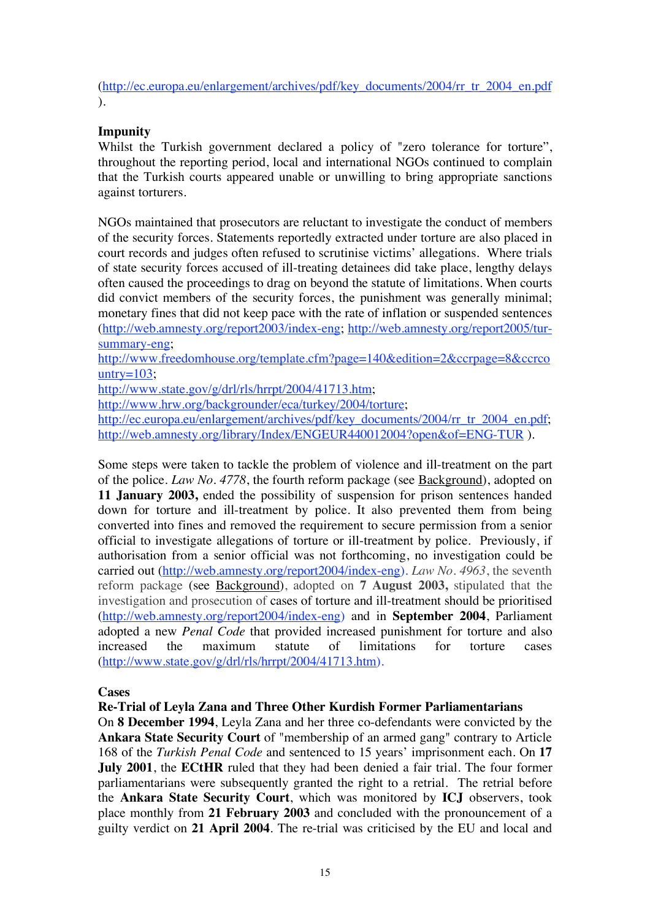(http://ec.europa.eu/enlargement/archives/pdf/key\_documents/2004/rr\_tr\_2004\_en.pdf ).

# **Impunity**

Whilst the Turkish government declared a policy of "zero tolerance for torture", throughout the reporting period, local and international NGOs continued to complain that the Turkish courts appeared unable or unwilling to bring appropriate sanctions against torturers.

NGOs maintained that prosecutors are reluctant to investigate the conduct of members of the security forces. Statements reportedly extracted under torture are also placed in court records and judges often refused to scrutinise victims' allegations. Where trials of state security forces accused of ill-treating detainees did take place, lengthy delays often caused the proceedings to drag on beyond the statute of limitations. When courts did convict members of the security forces, the punishment was generally minimal; monetary fines that did not keep pace with the rate of inflation or suspended sentences (http://web.amnesty.org/report2003/index-eng; http://web.amnesty.org/report2005/tursummary-eng;

http://www.freedomhouse.org/template.cfm?page=140&edition=2&ccrpage=8&ccrco untry= $103$ ;

http://www.state.gov/g/drl/rls/hrrpt/2004/41713.htm;

http://www.hrw.org/backgrounder/eca/turkey/2004/torture;

http://ec.europa.eu/enlargement/archives/pdf/key\_documents/2004/rr\_tr\_2004\_en.pdf; http://web.amnesty.org/library/Index/ENGEUR440012004?open&of=ENG-TUR ).

Some steps were taken to tackle the problem of violence and ill-treatment on the part of the police. *Law No. 4778*, the fourth reform package (see Background), adopted on **11 January 2003,** ended the possibility of suspension for prison sentences handed down for torture and ill-treatment by police. It also prevented them from being converted into fines and removed the requirement to secure permission from a senior official to investigate allegations of torture or ill-treatment by police. Previously, if authorisation from a senior official was not forthcoming, no investigation could be carried out (http://web.amnesty.org/report2004/index-eng). *Law No. 4963*, the seventh reform package (see Background), adopted on **7 August 2003,** stipulated that the investigation and prosecution of cases of torture and ill-treatment should be prioritised (http://web.amnesty.org/report2004/index-eng) and in **September 2004**, Parliament adopted a new *Penal Code* that provided increased punishment for torture and also increased the maximum statute of limitations for torture cases (http://www.state.gov/g/drl/rls/hrrpt/2004/41713.htm).

**Cases**

**Re-Trial of Leyla Zana and Three Other Kurdish Former Parliamentarians**

On **8 December 1994**, Leyla Zana and her three co-defendants were convicted by the **Ankara State Security Court** of "membership of an armed gang" contrary to Article 168 of the *Turkish Penal Code* and sentenced to 15 years' imprisonment each. On **17 July 2001**, the **ECtHR** ruled that they had been denied a fair trial. The four former parliamentarians were subsequently granted the right to a retrial. The retrial before the **Ankara State Security Court**, which was monitored by **ICJ** observers, took place monthly from **21 February 2003** and concluded with the pronouncement of a guilty verdict on **21 April 2004**. The re-trial was criticised by the EU and local and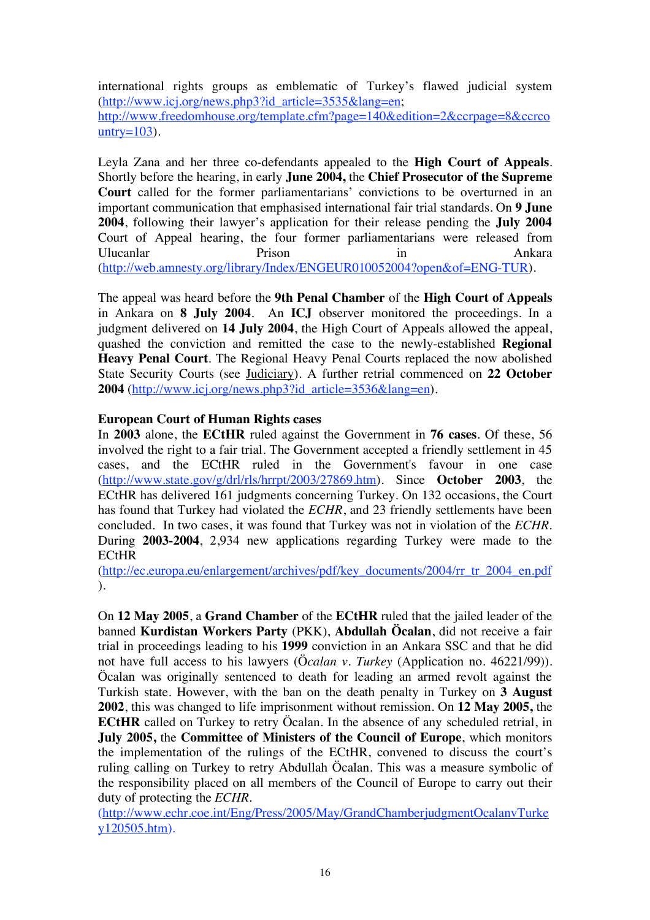international rights groups as emblematic of Turkey's flawed judicial system (http://www.icj.org/news.php3?id\_article=3535&lang=en; http://www.freedomhouse.org/template.cfm?page=140&edition=2&ccrpage=8&ccrco untry= $103$ ).

Leyla Zana and her three co-defendants appealed to the **High Court of Appeals**. Shortly before the hearing, in early **June 2004,** the **Chief Prosecutor of the Supreme Court** called for the former parliamentarians' convictions to be overturned in an important communication that emphasised international fair trial standards. On **9 June 2004**, following their lawyer's application for their release pending the **July 2004** Court of Appeal hearing, the four former parliamentarians were released from Ulucanlar **Prison** Prison **in** Ankara (http://web.amnesty.org/library/Index/ENGEUR010052004?open&of=ENG-TUR).

The appeal was heard before the **9th Penal Chamber** of the **High Court of Appeals** in Ankara on **8 July 2004**. An **ICJ** observer monitored the proceedings. In a judgment delivered on **14 July 2004**, the High Court of Appeals allowed the appeal, quashed the conviction and remitted the case to the newly-established **Regional Heavy Penal Court**. The Regional Heavy Penal Courts replaced the now abolished State Security Courts (see Judiciary). A further retrial commenced on **22 October 2004** (http://www.icj.org/news.php3?id\_article=3536&lang=en).

# **European Court of Human Rights cases**

In **2003** alone, the **ECtHR** ruled against the Government in **76 cases**. Of these, 56 involved the right to a fair trial. The Government accepted a friendly settlement in 45 cases, and the ECtHR ruled in the Government's favour in one case (http://www.state.gov/g/drl/rls/hrrpt/2003/27869.htm). Since **October 2003**, the ECtHR has delivered 161 judgments concerning Turkey. On 132 occasions, the Court has found that Turkey had violated the *ECHR*, and 23 friendly settlements have been concluded. In two cases, it was found that Turkey was not in violation of the *ECHR*. During **2003-2004**, 2,934 new applications regarding Turkey were made to the **ECtHR** 

(http://ec.europa.eu/enlargement/archives/pdf/key\_documents/2004/rr\_tr\_2004\_en.pdf ).

On **12 May 2005**, a **Grand Chamber** of the **ECtHR** ruled that the jailed leader of the banned **Kurdistan Workers Party** (PKK), **Abdullah Öcalan**, did not receive a fair trial in proceedings leading to his **1999** conviction in an Ankara SSC and that he did not have full access to his lawyers (Ö*calan v. Turkey* (Application no. 46221/99))*.* Öcalan was originally sentenced to death for leading an armed revolt against the Turkish state. However, with the ban on the death penalty in Turkey on **3 August 2002**, this was changed to life imprisonment without remission. On **12 May 2005,** the **ECtHR** called on Turkey to retry Öcalan. In the absence of any scheduled retrial, in **July 2005,** the **Committee of Ministers of the Council of Europe**, which monitors the implementation of the rulings of the ECtHR, convened to discuss the court's ruling calling on Turkey to retry Abdullah Öcalan. This was a measure symbolic of the responsibility placed on all members of the Council of Europe to carry out their duty of protecting the *ECHR*.

(http://www.echr.coe.int/Eng/Press/2005/May/GrandChamberjudgmentOcalanvTurke y120505.htm).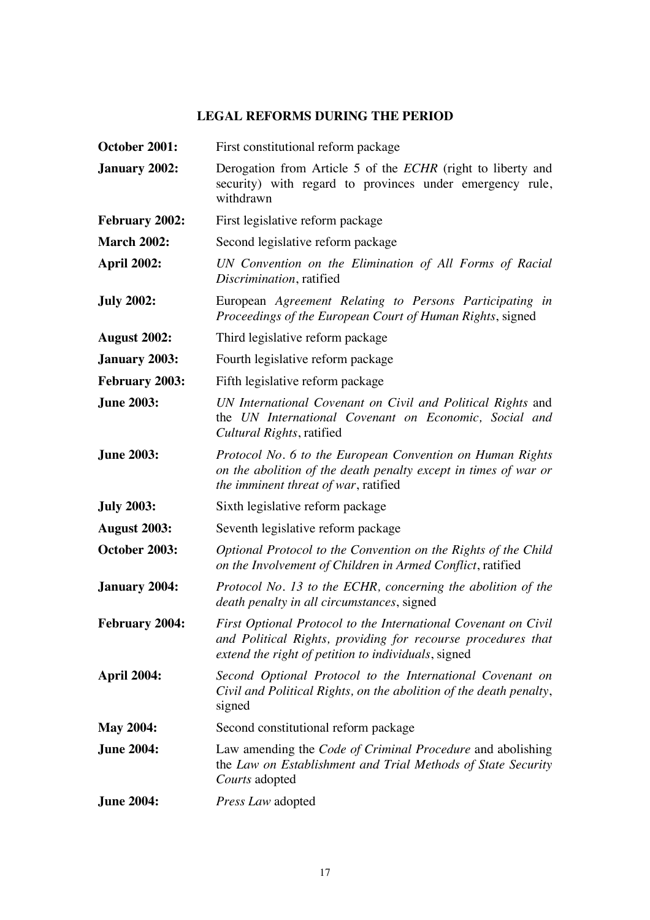# **LEGAL REFORMS DURING THE PERIOD**

| October 2001:         | First constitutional reform package                                                                                                                                                   |
|-----------------------|---------------------------------------------------------------------------------------------------------------------------------------------------------------------------------------|
| January 2002:         | Derogation from Article 5 of the ECHR (right to liberty and<br>security) with regard to provinces under emergency rule,<br>withdrawn                                                  |
| <b>February 2002:</b> | First legislative reform package                                                                                                                                                      |
| <b>March 2002:</b>    | Second legislative reform package                                                                                                                                                     |
| <b>April 2002:</b>    | UN Convention on the Elimination of All Forms of Racial<br>Discrimination, ratified                                                                                                   |
| <b>July 2002:</b>     | European Agreement Relating to Persons Participating in<br>Proceedings of the European Court of Human Rights, signed                                                                  |
| <b>August 2002:</b>   | Third legislative reform package                                                                                                                                                      |
| <b>January 2003:</b>  | Fourth legislative reform package                                                                                                                                                     |
| February 2003:        | Fifth legislative reform package                                                                                                                                                      |
| <b>June 2003:</b>     | UN International Covenant on Civil and Political Rights and<br>the UN International Covenant on Economic, Social and<br>Cultural Rights, ratified                                     |
| <b>June 2003:</b>     | Protocol No. 6 to the European Convention on Human Rights<br>on the abolition of the death penalty except in times of war or<br>the imminent threat of war, ratified                  |
| <b>July 2003:</b>     | Sixth legislative reform package                                                                                                                                                      |
| <b>August 2003:</b>   | Seventh legislative reform package                                                                                                                                                    |
| October 2003:         | Optional Protocol to the Convention on the Rights of the Child<br>on the Involvement of Children in Armed Conflict, ratified                                                          |
| <b>January 2004:</b>  | Protocol No. 13 to the ECHR, concerning the abolition of the<br>death penalty in all circumstances, signed                                                                            |
| <b>February 2004:</b> | First Optional Protocol to the International Covenant on Civil<br>and Political Rights, providing for recourse procedures that<br>extend the right of petition to individuals, signed |
| <b>April 2004:</b>    | Second Optional Protocol to the International Covenant on<br>Civil and Political Rights, on the abolition of the death penalty,<br>signed                                             |
| <b>May 2004:</b>      | Second constitutional reform package                                                                                                                                                  |
| <b>June 2004:</b>     | Law amending the Code of Criminal Procedure and abolishing<br>the Law on Establishment and Trial Methods of State Security<br>Courts adopted                                          |
| <b>June 2004:</b>     | Press Law adopted                                                                                                                                                                     |